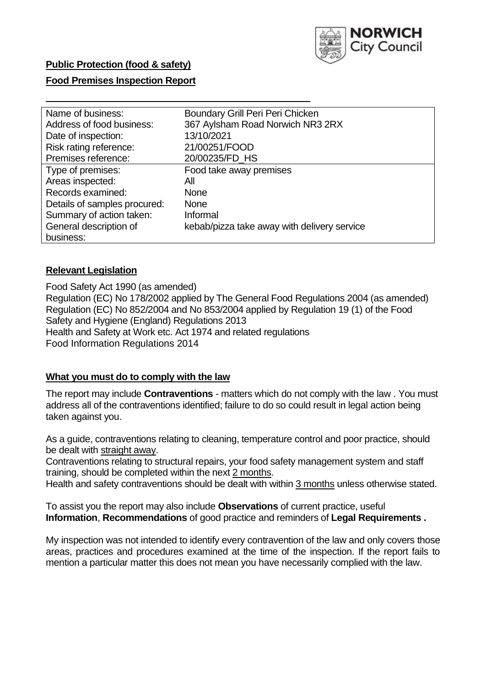

### **Food Premises Inspection Report**

| Name of business:            | Boundary Grill Peri Peri Chicken            |
|------------------------------|---------------------------------------------|
| Address of food business:    | 367 Aylsham Road Norwich NR3 2RX            |
| Date of inspection:          | 13/10/2021                                  |
| Risk rating reference:       | 21/00251/FOOD                               |
| Premises reference:          | 20/00235/FD HS                              |
| Type of premises:            | Food take away premises                     |
| Areas inspected:             | All                                         |
| Records examined:            | <b>None</b>                                 |
| Details of samples procured: | <b>None</b>                                 |
| Summary of action taken:     | Informal                                    |
| General description of       | kebab/pizza take away with delivery service |
| business:                    |                                             |

#### **Relevant Legislation**

Food Safety Act 1990 (as amended) Regulation (EC) No 178/2002 applied by The General Food Regulations 2004 (as amended) Regulation (EC) No 852/2004 and No 853/2004 applied by Regulation 19 (1) of the Food Safety and Hygiene (England) Regulations 2013 Health and Safety at Work etc. Act 1974 and related regulations Food Information Regulations 2014

#### **What you must do to comply with the law**

The report may include **Contraventions** - matters which do not comply with the law . You must address all of the contraventions identified; failure to do so could result in legal action being taken against you.

As a guide, contraventions relating to cleaning, temperature control and poor practice, should be dealt with straight away.

Contraventions relating to structural repairs, your food safety management system and staff training, should be completed within the next 2 months.

Health and safety contraventions should be dealt with within 3 months unless otherwise stated.

To assist you the report may also include **Observations** of current practice, useful **Information**, **Recommendations** of good practice and reminders of **Legal Requirements .**

My inspection was not intended to identify every contravention of the law and only covers those areas, practices and procedures examined at the time of the inspection. If the report fails to mention a particular matter this does not mean you have necessarily complied with the law.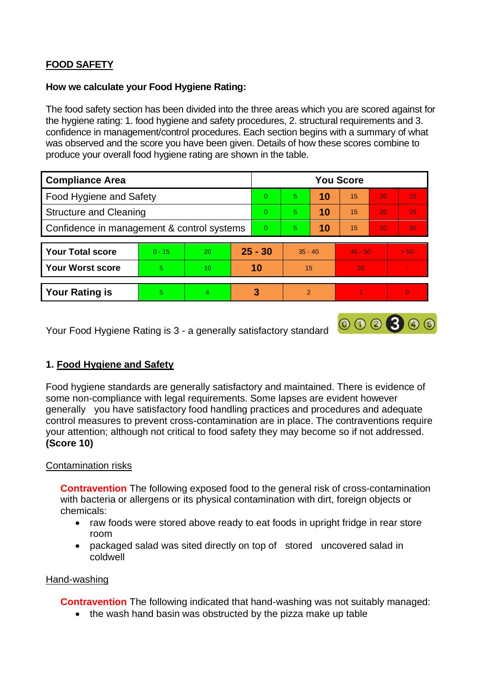# **FOOD SAFETY**

#### **How we calculate your Food Hygiene Rating:**

The food safety section has been divided into the three areas which you are scored against for the hygiene rating: 1. food hygiene and safety procedures, 2. structural requirements and 3. confidence in management/control procedures. Each section begins with a summary of what was observed and the score you have been given. Details of how these scores combine to produce your overall food hygiene rating are shown in the table.

| <b>Compliance Area</b>                     |          |    |           | <b>You Score</b> |                |    |           |    |          |  |  |
|--------------------------------------------|----------|----|-----------|------------------|----------------|----|-----------|----|----------|--|--|
| Food Hygiene and Safety                    |          |    |           | $\Omega$         | 5              | 10 | 15        | 20 | 25       |  |  |
| <b>Structure and Cleaning</b>              |          |    | $\Omega$  | 5                | 10             | 15 | 20        | 25 |          |  |  |
| Confidence in management & control systems |          |    | $\Omega$  | 5                | 10             | 15 | 20        | 30 |          |  |  |
|                                            |          |    |           |                  |                |    |           |    |          |  |  |
| <b>Your Total score</b>                    | $0 - 15$ | 20 | $25 - 30$ |                  | $35 - 40$      |    | $45 - 50$ |    | > 50     |  |  |
| <b>Your Worst score</b>                    | 5        | 10 |           | 10               | 15             |    | 20        |    |          |  |  |
|                                            |          |    |           |                  |                |    |           |    |          |  |  |
| <b>Your Rating is</b>                      | 5        | 4  |           | 3                | $\overline{2}$ |    |           |    | $\Omega$ |  |  |

Your Food Hygiene Rating is 3 - a generally satisfactory standard

# **1. Food Hygiene and Safety**

Food hygiene standards are generally satisfactory and maintained. There is evidence of some non-compliance with legal requirements. Some lapses are evident however generally you have satisfactory food handling practices and procedures and adequate control measures to prevent cross-contamination are in place. The contraventions require your attention; although not critical to food safety they may become so if not addressed. **(Score 10)**

000300

# Contamination risks

**Contravention** The following exposed food to the general risk of cross-contamination with bacteria or allergens or its physical contamination with dirt, foreign objects or chemicals:

- raw foods were stored above ready to eat foods in upright fridge in rear store room
- packaged salad was sited directly on top of stored uncovered salad in coldwell

#### Hand-washing

**Contravention** The following indicated that hand-washing was not suitably managed:

• the wash hand basin was obstructed by the pizza make up table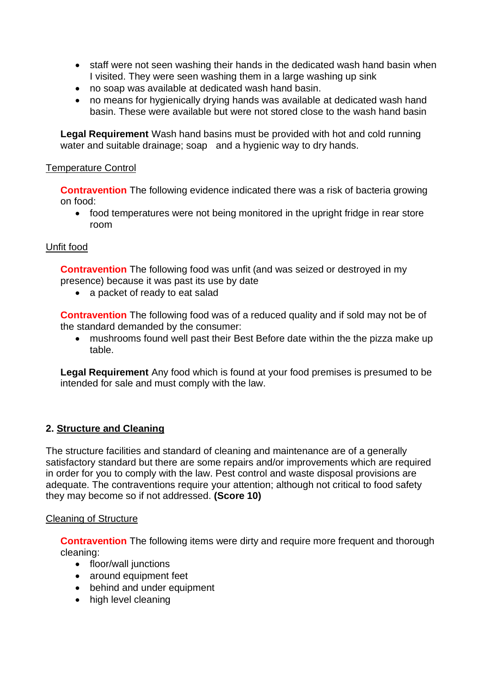- staff were not seen washing their hands in the dedicated wash hand basin when I visited. They were seen washing them in a large washing up sink
- no soap was available at dedicated wash hand basin.
- no means for hygienically drying hands was available at dedicated wash hand basin. These were available but were not stored close to the wash hand basin

**Legal Requirement** Wash hand basins must be provided with hot and cold running water and suitable drainage; soap and a hygienic way to dry hands.

#### Temperature Control

**Contravention** The following evidence indicated there was a risk of bacteria growing on food:

• food temperatures were not being monitored in the upright fridge in rear store room

#### Unfit food

**Contravention** The following food was unfit (and was seized or destroyed in my presence) because it was past its use by date

• a packet of ready to eat salad

**Contravention** The following food was of a reduced quality and if sold may not be of the standard demanded by the consumer:

• mushrooms found well past their Best Before date within the the pizza make up table.

**Legal Requirement** Any food which is found at your food premises is presumed to be intended for sale and must comply with the law.

# **2. Structure and Cleaning**

The structure facilities and standard of cleaning and maintenance are of a generally satisfactory standard but there are some repairs and/or improvements which are required in order for you to comply with the law. Pest control and waste disposal provisions are adequate. The contraventions require your attention; although not critical to food safety they may become so if not addressed. **(Score 10)**

#### Cleaning of Structure

**Contravention** The following items were dirty and require more frequent and thorough cleaning:

- floor/wall junctions
- around equipment feet
- behind and under equipment
- high level cleaning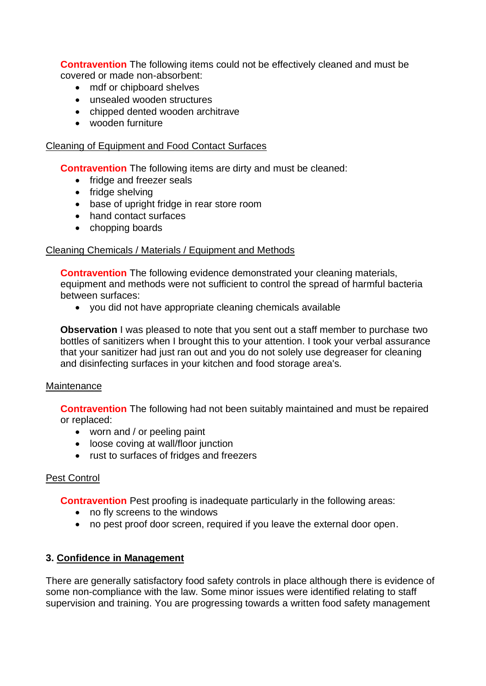**Contravention** The following items could not be effectively cleaned and must be covered or made non-absorbent:

- mdf or chipboard shelves
- unsealed wooden structures
- chipped dented wooden architrave
- wooden furniture

#### Cleaning of Equipment and Food Contact Surfaces

**Contravention** The following items are dirty and must be cleaned:

- fridge and freezer seals
- fridge shelving
- base of upright fridge in rear store room
- hand contact surfaces
- chopping boards

### Cleaning Chemicals / Materials / Equipment and Methods

**Contravention** The following evidence demonstrated your cleaning materials, equipment and methods were not sufficient to control the spread of harmful bacteria between surfaces:

• you did not have appropriate cleaning chemicals available

**Observation** I was pleased to note that you sent out a staff member to purchase two bottles of sanitizers when I brought this to your attention. I took your verbal assurance that your sanitizer had just ran out and you do not solely use degreaser for cleaning and disinfecting surfaces in your kitchen and food storage area's.

#### Maintenance

**Contravention** The following had not been suitably maintained and must be repaired or replaced:

- worn and / or peeling paint
- loose coving at wall/floor junction
- rust to surfaces of fridges and freezers

# Pest Control

**Contravention** Pest proofing is inadequate particularly in the following areas:

- no fly screens to the windows
- no pest proof door screen, required if you leave the external door open.

# **3. Confidence in Management**

There are generally satisfactory food safety controls in place although there is evidence of some non-compliance with the law. Some minor issues were identified relating to staff supervision and training. You are progressing towards a written food safety management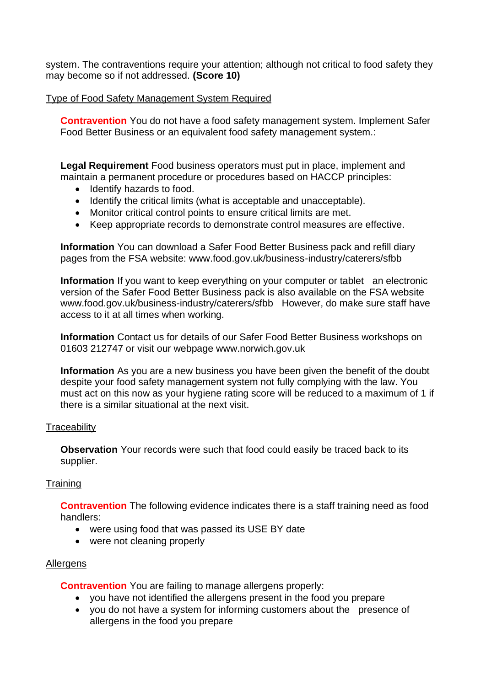system. The contraventions require your attention; although not critical to food safety they may become so if not addressed. **(Score 10)**

### Type of Food Safety Management System Required

**Contravention** You do not have a food safety management system. Implement Safer Food Better Business or an equivalent food safety management system.:

**Legal Requirement** Food business operators must put in place, implement and maintain a permanent procedure or procedures based on HACCP principles:

- Identify hazards to food.
- Identify the critical limits (what is acceptable and unacceptable).
- Monitor critical control points to ensure critical limits are met.
- Keep appropriate records to demonstrate control measures are effective.

**Information** You can download a Safer Food Better Business pack and refill diary pages from the FSA website: www.food.gov.uk/business-industry/caterers/sfbb

**Information** If you want to keep everything on your computer or tablet an electronic version of the Safer Food Better Business pack is also available on the FSA website www.food.gov.uk/business-industry/caterers/sfbb However, do make sure staff have access to it at all times when working.

**Information** Contact us for details of our Safer Food Better Business workshops on 01603 212747 or visit our webpage www.norwich.gov.uk

**Information** As you are a new business you have been given the benefit of the doubt despite your food safety management system not fully complying with the law. You must act on this now as your hygiene rating score will be reduced to a maximum of 1 if there is a similar situational at the next visit.

#### **Traceability**

**Observation** Your records were such that food could easily be traced back to its supplier.

#### **Training**

**Contravention** The following evidence indicates there is a staff training need as food handlers:

- were using food that was passed its USE BY date
- were not cleaning properly

# **Allergens**

**Contravention** You are failing to manage allergens properly:

- you have not identified the allergens present in the food you prepare
- you do not have a system for informing customers about the presence of allergens in the food you prepare